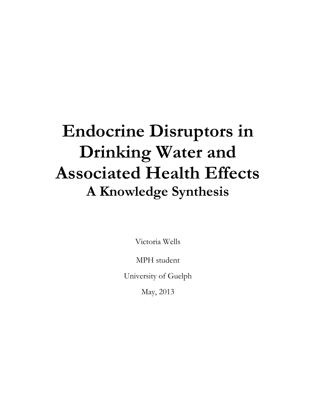# **Endocrine Disruptors in Drinking Water and Associated Health Effects A Knowledge Synthesis**

Victoria Wells

MPH student

University of Guelph

May, 2013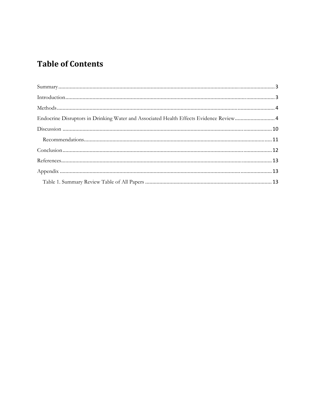## **Table of Contents**

| Endocrine Disruptors in Drinking Water and Associated Health Effects Evidence Review 4 |  |
|----------------------------------------------------------------------------------------|--|
|                                                                                        |  |
|                                                                                        |  |
|                                                                                        |  |
|                                                                                        |  |
|                                                                                        |  |
|                                                                                        |  |
|                                                                                        |  |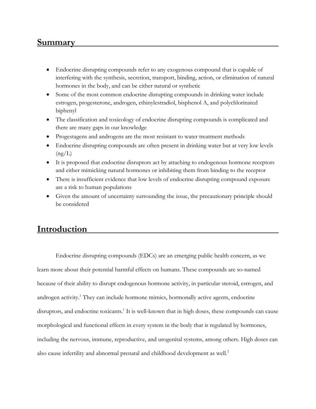## **Summary**

- Endocrine disrupting compounds refer to any exogenous compound that is capable of interfering with the synthesis, secretion, transport, binding, action, or elimination of natural hormones in the body, and can be either natural or synthetic
- Some of the most common endocrine disrupting compounds in drinking water include estrogen, progesterone, androgen, ethinylestradiol, bisphenol A, and polychlorinated biphenyl
- The classification and toxicology of endocrine disrupting compounds is complicated and there are many gaps in our knowledge
- Progestagens and androgens are the most resistant to water treatment methods
- Endocrine disrupting compounds are often present in drinking water but at very low levels  $(ng/L)$
- It is proposed that endocrine disruptors act by attaching to endogenous hormone receptors and either mimicking natural hormones or inhibiting them from binding to the receptor
- There is insufficient evidence that low levels of endocrine disrupting compound exposure are a risk to human populations
- Given the amount of uncertainty surrounding the issue, the precautionary principle should be considered

## **Introduction**

 Endocrine disrupting compounds (EDCs) are an emerging public health concern, as we learn more about their potential harmful effects on humans. These compounds are so-named because of their ability to disrupt endogenous hormone activity, in particular steroid, estrogen, and androgen activity.<sup>1</sup> They can include hormone mimics, hormonally active agents, endocrine disruptors, and endocrine toxicants.<sup>1</sup> It is well-known that in high doses, these compounds can cause morphological and functional effects in every system in the body that is regulated by hormones, including the nervous, immune, reproductive, and urogenital systems, among others. High doses can also cause infertility and abnormal prenatal and childhood development as well.<sup>2</sup>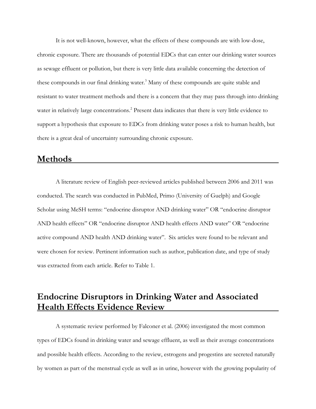It is not well-known, however, what the effects of these compounds are with low-dose, chronic exposure. There are thousands of potential EDCs that can enter our drinking water sources as sewage effluent or pollution, but there is very little data available concerning the detection of these compounds in our final drinking water.<sup>3</sup> Many of these compounds are quite stable and resistant to water treatment methods and there is a concern that they may pass through into drinking water in relatively large concentrations.<sup>2</sup> Present data indicates that there is very little evidence to support a hypothesis that exposure to EDCs from drinking water poses a risk to human health, but there is a great deal of uncertainty surrounding chronic exposure.

#### **Methods**

 A literature review of English peer-reviewed articles published between 2006 and 2011 was conducted. The search was conducted in PubMed, Primo (University of Guelph) and Google Scholar using MeSH terms: "endocrine disruptor AND drinking water" OR "endocrine disruptor AND health effects" OR "endocrine disruptor AND health effects AND water" OR "endocrine active compound AND health AND drinking water". Six articles were found to be relevant and were chosen for review. Pertinent information such as author, publication date, and type of study was extracted from each article. Refer to Table 1.

## **Endocrine Disruptors in Drinking Water and Associated Health Effects Evidence Review**

 A systematic review performed by Falconer et al. (2006) investigated the most common types of EDCs found in drinking water and sewage effluent, as well as their average concentrations and possible health effects. According to the review, estrogens and progestins are secreted naturally by women as part of the menstrual cycle as well as in urine, however with the growing popularity of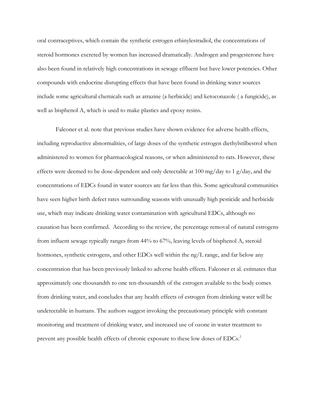oral contraceptives, which contain the synthetic estrogen ethinylestradiol, the concentrations of steroid hormones excreted by women has increased dramatically. Androgen and progesterone have also been found in relatively high concentrations in sewage effluent but have lower potencies. Other compounds with endocrine disrupting effects that have been found in drinking water sources include some agricultural chemicals such as atrazine (a herbicide) and ketoconazole ( a fungicide), as well as bisphenol A, which is used to make plastics and epoxy resins.

Falconer et al. note that previous studies have shown evidence for adverse health effects, including reproductive abnormalities, of large doses of the synthetic estrogen diethylstilbestrol when administered to women for pharmacological reasons, or when administered to rats. However, these effects were deemed to be dose-dependent and only detectable at 100 mg/day to 1 g/day, and the concentrations of EDCs found in water sources are far less than this. Some agricultural communities have seen higher birth defect rates surrounding seasons with unusually high pesticide and herbicide use, which may indicate drinking water contamination with agricultural EDCs, although no causation has been confirmed. According to the review, the percentage removal of natural estrogens from influent sewage typically ranges from 44% to 67%, leaving levels of bisphenol A, steroid hormones, synthetic estrogens, and other EDCs well within the ng/L range, and far below any concentration that has been previously linked to adverse health effects. Falconer et al. estimates that approximately one thousandth to one ten-thousandth of the estrogen available to the body comes from drinking water, and concludes that any health effects of estrogen from drinking water will be undetectable in humans. The authors suggest invoking the precautionary principle with constant monitoring and treatment of drinking water, and increased use of ozone in water treatment to prevent any possible health effects of chronic exposure to these low doses of EDCs.<sup>2</sup>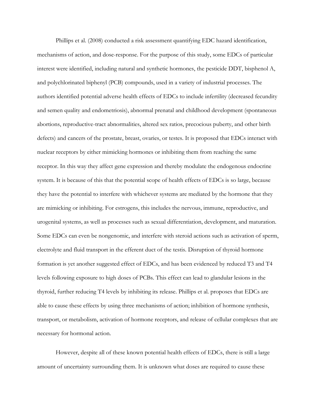Phillips et al. (2008) conducted a risk assessment quantifying EDC hazard identification, mechanisms of action, and dose-response. For the purpose of this study, some EDCs of particular interest were identified, including natural and synthetic hormones, the pesticide DDT, bisphenol A, and polychlorinated biphenyl (PCB) compounds, used in a variety of industrial processes. The authors identified potential adverse health effects of EDCs to include infertility (decreased fecundity and semen quality and endometriosis), abnormal prenatal and childhood development (spontaneous abortions, reproductive-tract abnormalities, altered sex ratios, precocious puberty, and other birth defects) and cancers of the prostate, breast, ovaries, or testes. It is proposed that EDCs interact with nuclear receptors by either mimicking hormones or inhibiting them from reaching the same receptor. In this way they affect gene expression and thereby modulate the endogenous endocrine system. It is because of this that the potential scope of health effects of EDCs is so large, because they have the potential to interfere with whichever systems are mediated by the hormone that they are mimicking or inhibiting. For estrogens, this includes the nervous, immune, reproductive, and urogenital systems, as well as processes such as sexual differentiation, development, and maturation. Some EDCs can even be nongenomic, and interfere with steroid actions such as activation of sperm, electrolyte and fluid transport in the efferent duct of the testis. Disruption of thyroid hormone formation is yet another suggested effect of EDCs, and has been evidenced by reduced T3 and T4 levels following exposure to high doses of PCBs. This effect can lead to glandular lesions in the thyroid, further reducing T4 levels by inhibiting its release. Phillips et al. proposes that EDCs are able to cause these effects by using three mechanisms of action; inhibition of hormone synthesis, transport, or metabolism, activation of hormone receptors, and release of cellular complexes that are necessary for hormonal action.

 However, despite all of these known potential health effects of EDCs, there is still a large amount of uncertainty surrounding them. It is unknown what doses are required to cause these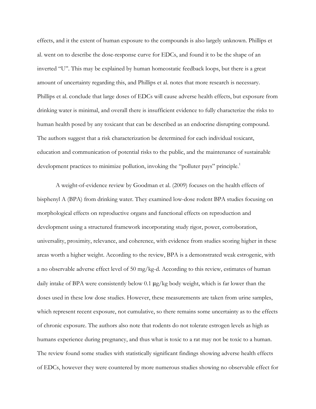effects, and it the extent of human exposure to the compounds is also largely unknown. Phillips et al. went on to describe the dose-response curve for EDCs, and found it to be the shape of an inverted "U". This may be explained by human homeostatic feedback loops, but there is a great amount of uncertainty regarding this, and Phillips et al. notes that more research is necessary. Phillips et al. conclude that large doses of EDCs will cause adverse health effects, but exposure from drinking water is minimal, and overall there is insufficient evidence to fully characterize the risks to human health posed by any toxicant that can be described as an endocrine disrupting compound. The authors suggest that a risk characterization be determined for each individual toxicant, education and communication of potential risks to the public, and the maintenance of sustainable development practices to minimize pollution, invoking the "polluter pays" principle.<sup>1</sup>

 A weight-of-evidence review by Goodman et al. (2009) focuses on the health effects of bisphenyl A (BPA) from drinking water. They examined low-dose rodent BPA studies focusing on morphological effects on reproductive organs and functional effects on reproduction and development using a structured framework incorporating study rigor, power, corroboration, universality, proximity, relevance, and coherence, with evidence from studies scoring higher in these areas worth a higher weight. According to the review, BPA is a demonstrated weak estrogenic, with a no observable adverse effect level of 50 mg/kg-d. According to this review, estimates of human daily intake of BPA were consistently below 0.1 μg/kg body weight, which is far lower than the doses used in these low dose studies. However, these measurements are taken from urine samples, which represent recent exposure, not cumulative, so there remains some uncertainty as to the effects of chronic exposure. The authors also note that rodents do not tolerate estrogen levels as high as humans experience during pregnancy, and thus what is toxic to a rat may not be toxic to a human. The review found some studies with statistically significant findings showing adverse health effects of EDCs, however they were countered by more numerous studies showing no observable effect for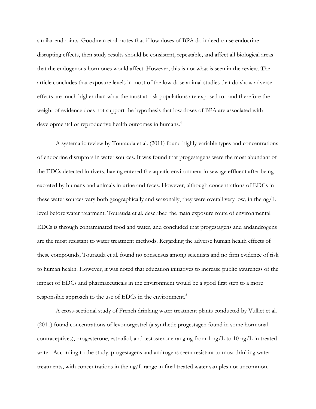similar endpoints. Goodman et al. notes that if low doses of BPA do indeed cause endocrine disrupting effects, then study results should be consistent, repeatable, and affect all biological areas that the endogenous hormones would affect. However, this is not what is seen in the review. The article concludes that exposure levels in most of the low-dose animal studies that do show adverse effects are much higher than what the most at-risk populations are exposed to, and therefore the weight of evidence does not support the hypothesis that low doses of BPA are associated with developmental or reproductive health outcomes in humans.<sup>4</sup>

A systematic review by Tourauda et al. (2011) found highly variable types and concentrations of endocrine disruptors in water sources. It was found that progestagens were the most abundant of the EDCs detected in rivers, having entered the aquatic environment in sewage effluent after being excreted by humans and animals in urine and feces. However, although concentrations of EDCs in these water sources vary both geographically and seasonally, they were overall very low, in the ng/L level before water treatment. Tourauda et al. described the main exposure route of environmental EDCs is through contaminated food and water, and concluded that progestagens and andandrogens are the most resistant to water treatment methods. Regarding the adverse human health effects of these compounds, Tourauda et al. found no consensus among scientists and no firm evidence of risk to human health. However, it was noted that education initiatives to increase public awareness of the impact of EDCs and pharmaceuticals in the environment would be a good first step to a more responsible approach to the use of EDCs in the environment.<sup>3</sup>

 A cross-sectional study of French drinking water treatment plants conducted by Vulliet et al. (2011) found concentrations of levonorgestrel (a synthetic progestagen found in some hormonal contraceptives), progesterone, estradiol, and testosterone ranging from 1 ng/L to 10 ng/L in treated water. According to the study, progestagens and androgens seem resistant to most drinking water treatments, with concentrations in the ng/L range in final treated water samples not uncommon.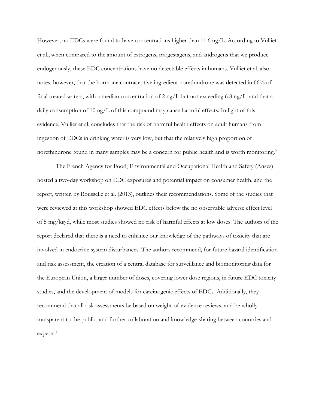However, no EDCs were found to have concentrations higher than 11.6 ng/L. According to Vulliet et al., when compared to the amount of estrogens, progestagens, and androgens that we produce endogenously, these EDC concentrations have no detectable effects in humans. Vulliet et al. also notes, however, that the hormone contraceptive ingredient norethindrone was detected in 66% of final treated waters, with a median concentration of 2 ng/L but not exceeding 6.8 ng/L, and that a daily consumption of 10 ng/L of this compound may cause harmful effects. In light of this evidence, Vulliet et al. concludes that the risk of harmful health effects on adult humans from ingestion of EDCs in drinking water is very low, but that the relatively high proportion of norethindrone found in many samples may be a concern for public health and is worth monitoring.<sup>5</sup>

 The French Agency for Food, Environmental and Occupational Health and Safety (Anses) hosted a two-day workshop on EDC exposures and potential impact on consumer health, and the report, written by Rousselle et al. (2013), outlines their recommendations. Some of the studies that were reviewed at this workshop showed EDC effects below the no observable adverse effect level of 5 mg/kg-d, while most studies showed no risk of harmful effects at low doses. The authors of the report declared that there is a need to enhance our knowledge of the pathways of toxicity that are involved in endocrine system disturbances. The authors recommend, for future hazard identification and risk assessment, the creation of a central database for surveillance and biomonitoring data for the European Union, a larger number of doses, covering lower dose regions, in future EDC toxicity studies, and the development of models for carcinogenic effects of EDCs. Additionally, they recommend that all risk assessments be based on weight-of-evidence reviews, and be wholly transparent to the public, and further collaboration and knowledge-sharing between countries and experts.<sup>6</sup>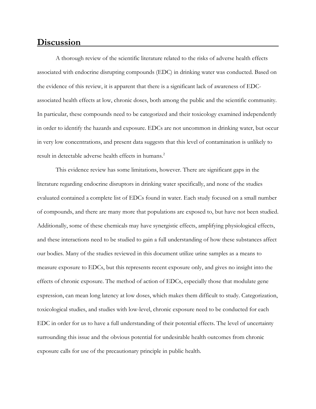#### **Discussion**

A thorough review of the scientific literature related to the risks of adverse health effects associated with endocrine disrupting compounds (EDC) in drinking water was conducted. Based on the evidence of this review, it is apparent that there is a significant lack of awareness of EDCassociated health effects at low, chronic doses, both among the public and the scientific community. In particular, these compounds need to be categorized and their toxicology examined independently in order to identify the hazards and exposure. EDCs are not uncommon in drinking water, but occur in very low concentrations, and present data suggests that this level of contamination is unlikely to result in detectable adverse health effects in humans.<sup>2</sup>

 This evidence review has some limitations, however. There are significant gaps in the literature regarding endocrine disruptors in drinking water specifically, and none of the studies evaluated contained a complete list of EDCs found in water. Each study focused on a small number of compounds, and there are many more that populations are exposed to, but have not been studied. Additionally, some of these chemicals may have synergistic effects, amplifying physiological effects, and these interactions need to be studied to gain a full understanding of how these substances affect our bodies. Many of the studies reviewed in this document utilize urine samples as a means to measure exposure to EDCs, but this represents recent exposure only, and gives no insight into the effects of chronic exposure. The method of action of EDCs, especially those that modulate gene expression, can mean long latency at low doses, which makes them difficult to study. Categorization, toxicological studies, and studies with low-level, chronic exposure need to be conducted for each EDC in order for us to have a full understanding of their potential effects. The level of uncertainty surrounding this issue and the obvious potential for undesirable health outcomes from chronic exposure calls for use of the precautionary principle in public health.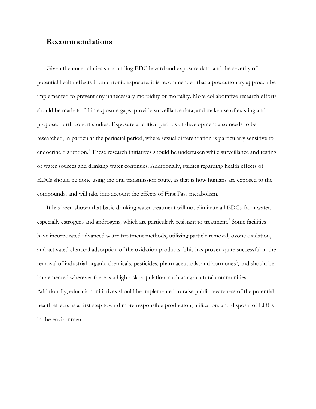#### **Recommendations**

Given the uncertainties surrounding EDC hazard and exposure data, and the severity of potential health effects from chronic exposure, it is recommended that a precautionary approach be implemented to prevent any unnecessary morbidity or mortality. More collaborative research efforts should be made to fill in exposure gaps, provide surveillance data, and make use of existing and proposed birth cohort studies. Exposure at critical periods of development also needs to be researched, in particular the perinatal period, where sexual differentiation is particularly sensitive to endocrine disruption.<sup>1</sup> These research initiatives should be undertaken while surveillance and testing of water sources and drinking water continues. Additionally, studies regarding health effects of EDCs should be done using the oral transmission route, as that is how humans are exposed to the compounds, and will take into account the effects of First Pass metabolism.

It has been shown that basic drinking water treatment will not eliminate all EDCs from water, especially estrogens and androgens, which are particularly resistant to treatment.<sup>2</sup> Some facilities have incorporated advanced water treatment methods, utilizing particle removal, ozone oxidation, and activated charcoal adsorption of the oxidation products. This has proven quite successful in the removal of industrial organic chemicals, pesticides, pharmaceuticals, and hormones<sup>2</sup>, and should be implemented wherever there is a high-risk population, such as agricultural communities. Additionally, education initiatives should be implemented to raise public awareness of the potential health effects as a first step toward more responsible production, utilization, and disposal of EDCs in the environment.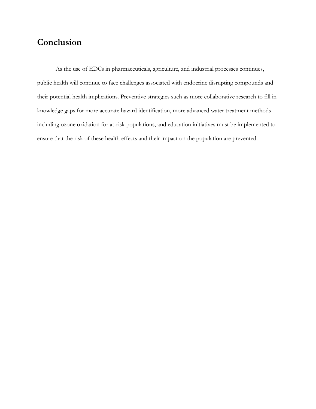## **Conclusion**

As the use of EDCs in pharmaceuticals, agriculture, and industrial processes continues, public health will continue to face challenges associated with endocrine disrupting compounds and their potential health implications. Preventive strategies such as more collaborative research to fill in knowledge gaps for more accurate hazard identification, more advanced water treatment methods including ozone oxidation for at-risk populations, and education initiatives must be implemented to ensure that the risk of these health effects and their impact on the population are prevented.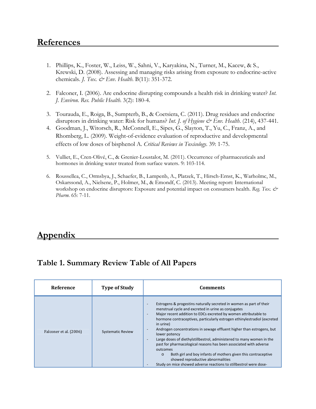## **References**

- 1. Phillips, K., Foster, W., Leiss, W., Sahni, V., Karyakina, N., Turner, M., Kacew, & S., Krewski, D. (2008). Assessing and managing risks arising from exposure to endocrine-active chemicals. *J. Tox. & Env. Health*. B(11): 351-372.
- 2. Falconer, I. (2006). Are endocrine disrupting compounds a health risk in drinking water? *Int. J. Environ. Res. Public Health*. 3(2): 180-4.
- 3. Tourauda, E., Roiga, B., Sumpterb, B., & Coetsiera, C. (2011). Drug residues and endocrine disruptors in drinking water: Risk for humans? *Int. J. of Hygiene & Env. Health.* (214), 437-441.
- 4. Goodman, J., Witorsch, R., McConnell, E., Sipes, G., Slayton, T., Yu, C., Franz, A., and Rhomberg, L. (2009). Weight-of-evidence evaluation of reproductive and developmental effects of low doses of bisphenol A. *Critical Reviews in Toxicology*. 39: 1-75.
- 5. Vulliet, E., Cren-Olivé, C., & Grenier-Loustalot, M. (2011). Occurrence of pharmaceuticals and hormones in drinking water treated from surface waters. 9: 103-114.
- 6. Roussellea, C., Ormsbya, J., Schaefer, B., Lampenb, A., Platzek, T., Hirsch-Ernst, K., Warholmc, M., Oskarssond, A., Nielsene, P., Holmer, M., & Emondf, C. (2013). Meeting report: International workshop on endocrine disruptors: Exposure and potential impact on consumers health. *Reg. Tox. & Pharm.* 65: 7-11.

## **Appendix**

## **Table 1. Summary Review Table of All Papers**

| <b>Reference</b>       | <b>Type of Study</b>     | <b>Comments</b>                                                                                                                                                                                                                                                                                                                                                                                                                                                                                                                                                                                                                                                                                                                                                                          |
|------------------------|--------------------------|------------------------------------------------------------------------------------------------------------------------------------------------------------------------------------------------------------------------------------------------------------------------------------------------------------------------------------------------------------------------------------------------------------------------------------------------------------------------------------------------------------------------------------------------------------------------------------------------------------------------------------------------------------------------------------------------------------------------------------------------------------------------------------------|
| Falconer et al. (2006) | <b>Systematic Review</b> | Estrogens & progestins naturally secreted in women as part of their<br>menstrual cycle and excreted in urine as conjugates<br>Major recent addition to EDCs excreted by women attributable to<br>$\overline{\phantom{a}}$<br>hormone contraceptives, particularly estrogen ethinylestradiol (excreted<br>in urine)<br>Androgen concentrations in sewage effluent higher than estrogens, but<br>$\overline{\phantom{a}}$<br>lower potency<br>Large doses of diethylstillbestrol, administered to many women in the<br>past for pharmacological reasons has been associated with adverse<br>outcomes<br>Both girl and boy infants of mothers given this contraceptive<br>$\circ$<br>showed reproductive abnormalities<br>Study on mice showed adverse reactions to stillbestrol were dose- |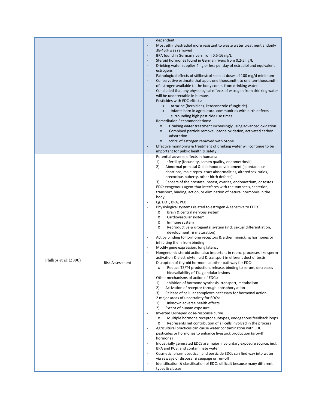|                        |                 | dependent<br>Most ethinylestradiol more resistant to waste water treatment andonly<br>38-45% was removed<br>BPA found in German rivers from 0.5-16 ng/L<br>$\overline{\phantom{a}}$<br>Steroid hormones found in German rivers from 0.2-5 ng/L<br>$\overline{\phantom{a}}$<br>Drinking water supplies 4 ng or less per day of estradiol and equivalent<br>$\overline{\phantom{a}}$<br>estrogens<br>Pathological effects of stillbestrol seen at doses of 100 mg/d minimum<br>$\overline{\phantom{a}}$<br>Conservative estimate that appr. one thousandth to one ten-thousandth<br>of estrogen available to the body comes from drinking water<br>Concluded that any physiological effects of estrogen from drinking water<br>$\overline{\phantom{a}}$<br>will be undetectable in humans<br>Pesticides with EDC effects:<br>Atrazine (herbicide), ketoconazole (fungicide)<br>$\circ$<br>Infants born in agricultural communities with birth defects<br>$\circ$<br>surrounding high pesticide use times<br>Remediation Recommendations:<br>Drinking water treatment increasingly using advanced oxidation<br>$\circ$<br>Combined particle removal, ozone oxidation, activated carbon<br>$\circ$<br>adsorption<br>>99% of estrogen removed with ozone<br>$\circ$<br>Effective monitoring & treatment of drinking water will continue to be<br>$\qquad \qquad \blacksquare$                                                                                                                                                                                                                                                                                                                                                                                                                                                                                                                                                                                                                                                                                                                                                                                                                                                                                                                                                                                                                                                                                                                      |
|------------------------|-----------------|-----------------------------------------------------------------------------------------------------------------------------------------------------------------------------------------------------------------------------------------------------------------------------------------------------------------------------------------------------------------------------------------------------------------------------------------------------------------------------------------------------------------------------------------------------------------------------------------------------------------------------------------------------------------------------------------------------------------------------------------------------------------------------------------------------------------------------------------------------------------------------------------------------------------------------------------------------------------------------------------------------------------------------------------------------------------------------------------------------------------------------------------------------------------------------------------------------------------------------------------------------------------------------------------------------------------------------------------------------------------------------------------------------------------------------------------------------------------------------------------------------------------------------------------------------------------------------------------------------------------------------------------------------------------------------------------------------------------------------------------------------------------------------------------------------------------------------------------------------------------------------------------------------------------------------------------------------------------------------------------------------------------------------------------------------------------------------------------------------------------------------------------------------------------------------------------------------------------------------------------------------------------------------------------------------------------------------------------------------------------------------------------------------------------------------------------------------------------------------------------------|
|                        |                 | important for public health & safety                                                                                                                                                                                                                                                                                                                                                                                                                                                                                                                                                                                                                                                                                                                                                                                                                                                                                                                                                                                                                                                                                                                                                                                                                                                                                                                                                                                                                                                                                                                                                                                                                                                                                                                                                                                                                                                                                                                                                                                                                                                                                                                                                                                                                                                                                                                                                                                                                                                          |
| Phillips et al. (2008) | Risk Assessment | $\blacksquare$<br>Potential adverse effects in humans:<br>Infertility (fecundity, semen quality, endometriosis)<br>1)<br>2)<br>Abnormal prenatal & childhood development (spontaneous<br>abortions, male repro.-tract abnormalities, altered sex ratios,<br>precocious puberty, other birth defects)<br>3)<br>Cancers of the prostate, breast, ovaries, endometrium, or testes<br>EDC: exogenous agent that interferes with the synthesis, secretion,<br>transport, binding, action, or elimination of natural hormones in the<br>body<br>Eg. DDT, BPA, PCB<br>$\qquad \qquad \blacksquare$<br>Physiological systems related to estrogen & sensitive to EDCs:<br>Brain & central nervous system<br>$\circ$<br>Cardiovascular system<br>$\circ$<br>Immune system<br>$\circ$<br>Reproductive & urogenital system (incl. sexual differentiation,<br>$\circ$<br>development, & maturation)<br>Act by binding to hormone receptors & either mimicking hormones or<br>inhibiting them from binding<br>Modify gene expression, long latency<br>$\overline{\phantom{a}}$<br>Nongenomic steroid action also important in repro. processes like sperm<br>activation & electrolyte fluid & transport in efferent duct of testis<br>Disruption of thyroid hormone another pathway for EDCs<br>$\overline{\phantom{a}}$<br>o Reduce T3/T4 production, release, binding to serum, decreases<br>bioavailability of T4, glandular lesions<br>Other mechanisms of action of EDCs:<br>Inhibition of hormone synthesis, transport, metabolism<br>1)<br>2)<br>Activation of receptor through phosphorylation<br>3)<br>Release of cellular complexes necessary for hormonal action<br>2 major areas of uncertainty for EDCs:<br>Unknown adverse health effects<br>1)<br>2)<br>Extent of human exposure<br>Inverted U-shaped dose-response curve<br>Multiple hormone receptor subtypes, endogenous feedback loops<br>$\circ$<br>Represents net contribution of all cells involved in the process<br>$\circ$<br>Agricultural practices can cause water contamination with EDC<br>pesticides or hormones to enhance livestock production (growth<br>hormone)<br>Industrially generated EDCs are major involuntary exposure source, incl.<br>BPA and PCB, and contaminate water<br>Cosmetic, pharmaceutical, and pesticide EDCs can find way into water<br>via sewage or disposal & seepage or run-off<br>Identification & classification of EDCs difficult because many different<br>$\frac{1}{2}$<br>types & classes |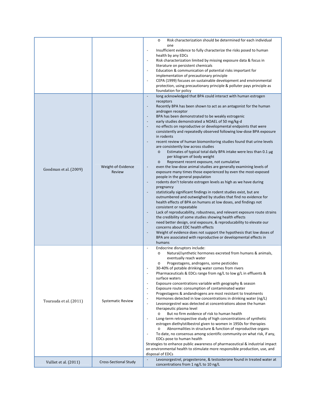|                        |                              | Risk characterization should be determined for each individual<br>$\circ$<br>one<br>Insufficient evidence to fully characterize the risks posed to human<br>$\blacksquare$<br>health by any EDCs<br>Risk characterization limited by missing exposure data & focus in<br>$\overline{\phantom{a}}$<br>literature on persistent chemicals<br>Education & communication of potential risks important for<br>$\blacksquare$<br>implementation of precautionary principle<br>CEPA (1999) focuses on sustainable development and environmental<br>$\blacksquare$<br>protection, using precautionary principle & polluter pays principle as<br>foundation for policy                                                                                                                                                                                                                                                                                                                                                                                                                                                                                                                                                                                                                                                                                                                                                                                                                                                                                                                                                                                                                                                                                                                                                                                                                                                           |
|------------------------|------------------------------|-------------------------------------------------------------------------------------------------------------------------------------------------------------------------------------------------------------------------------------------------------------------------------------------------------------------------------------------------------------------------------------------------------------------------------------------------------------------------------------------------------------------------------------------------------------------------------------------------------------------------------------------------------------------------------------------------------------------------------------------------------------------------------------------------------------------------------------------------------------------------------------------------------------------------------------------------------------------------------------------------------------------------------------------------------------------------------------------------------------------------------------------------------------------------------------------------------------------------------------------------------------------------------------------------------------------------------------------------------------------------------------------------------------------------------------------------------------------------------------------------------------------------------------------------------------------------------------------------------------------------------------------------------------------------------------------------------------------------------------------------------------------------------------------------------------------------------------------------------------------------------------------------------------------------|
| Goodman et al. (2009)  | Weight-of-Evidence<br>Review | $\Box$<br>long acknowledged that BPA could interact with human estrogen<br>receptors<br>Recently BPA has been shown to act as an antagonist for the human<br>$\overline{\phantom{a}}$<br>androgen receptor<br>BPA has been demonstrated to be weakly estrogenic<br>$\overline{\phantom{a}}$<br>early studies demonstrated a NOAEL of 50 mg/kg-d<br>$\overline{\phantom{a}}$<br>no effects on reproductive or developmental endpoints that were<br>$\overline{\phantom{a}}$<br>consistently and repeatedly observed following low-dose BPA exposure<br>in rodents<br>recent review of human biomonitoring studies found that urine levels<br>are consistently low across studies<br>Estimates of typical total daily BPA intake were less than 0.1 µg<br>$\circ$<br>per kilogram of body weight<br>Represent recent exposure, not cumulative<br>$\circ$<br>even the low-dose animal studies are generally examining levels of<br>$\blacksquare$<br>exposure many times those experienced by even the most-exposed<br>people in the general population<br>rodents don't tolerate estrogen levels as high as we have during<br>$\blacksquare$<br>pregnancy<br>statistically significant findings in rodent studies exist, but are<br>$\overline{\phantom{a}}$<br>outnumbered and outweighed by studies that find no evidence for<br>health effects of BPA on humans at low doses, and findings not<br>consistent or repeatable<br>Lack of reproducability, robustness, and relevant exposure route strains<br>$\overline{\phantom{a}}$<br>the credibility of some studies showing health effects<br>need better design, oral exposure, & reproducability to elevate our<br>$\overline{\phantom{a}}$<br>concerns about EDC health effects<br>Weight of evidence does not support the hypothesis that low doses of<br>$\overline{\phantom{a}}$<br>BPA are associated with reproductive or developmental effects in<br>humans |
| Tourauda et al. (2011) | <b>Systematic Review</b>     | Endocrine disruptors include:<br>$\blacksquare$<br>Natural/synthetic hormones excreted from humans & animals,<br>$\circ$<br>eventually reach water<br>Progestagens, androgens, some pesticides<br>$\circ$<br>30-40% of potable drinking water comes from rivers<br>Pharmaceuticals & EDCs range from ng/L to low g/L in effluents &<br>$\blacksquare$<br>surface waters<br>Exposure concentrations variable with geography & season<br>$\overline{\phantom{a}}$<br>Exposure route: consumption of contaminated water<br>$\overline{\phantom{a}}$<br>Progestagens & andandrogens are most resistant to treatments<br>$\overline{\phantom{a}}$<br>Hormones detected in low concentrations in drinking water (ng/L)<br>$\overline{\phantom{a}}$<br>Levonorgestrel was detected at concentrations above the human<br>$\blacksquare$<br>therapeutic plasma level<br>But no firm evidence of risk to human health<br>$\circ$<br>Long-term retrospective study of high concentrations of synthetic<br>$\blacksquare$<br>estrogen diethylstilbestrol given to women in 1950s for therapies<br>Abnormalities in structure & function of reproductive organs<br>$\circ$<br>To date, no consensus among scientific community on what risk, if any,<br>$\blacksquare$<br>EDCs pose to human health<br>Strategies to enhance public awareness of pharmaceutical & industrial impact<br>on environmental health to stimulate more responsible production, use, and<br>disposal of EDCs                                                                                                                                                                                                                                                                                                                                                                                                                                                |
| Vulliet et al. (2011)  | <b>Cross-Sectional Study</b> | Levonorgestrel, progesterone, & testosterone found in treated water at<br>$\overline{a}$<br>concentrations from 1 ng/L to 10 ng/L                                                                                                                                                                                                                                                                                                                                                                                                                                                                                                                                                                                                                                                                                                                                                                                                                                                                                                                                                                                                                                                                                                                                                                                                                                                                                                                                                                                                                                                                                                                                                                                                                                                                                                                                                                                       |